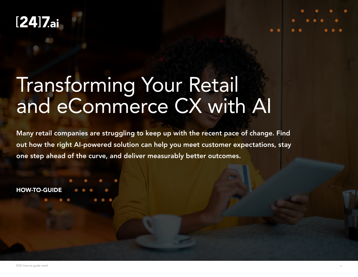# $[24]$ 7.ai

# Transforming Your Retail and eCommerce CX with AI

Many retail companies are struggling to keep up with the recent pace of change. Find out how the right AI-powered solution can help you meet customer expectations, stay one step ahead of the curve, and deliver measurably better outcomes.

HOW-TO-GUIDE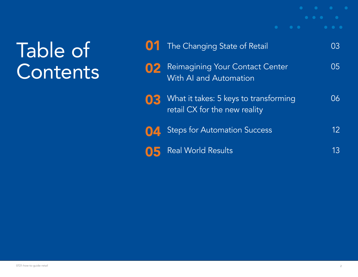# Table of **Contents**

|    | <b>01</b> The Changing State of Retail                                 | 03 |
|----|------------------------------------------------------------------------|----|
| 02 | <b>Reimagining Your Contact Center</b><br>With Al and Automation       | 05 |
| 03 | What it takes: 5 keys to transforming<br>retail CX for the new reality | 06 |
| 04 | <b>Steps for Automation Success</b>                                    | 12 |
|    | <b>Real World Results</b>                                              | 13 |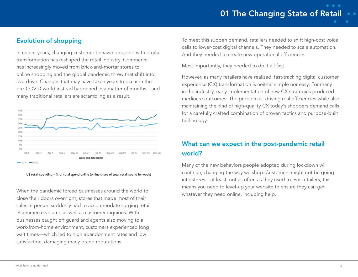# 01 The Changing State of Retail

## Evolution of shopping

In recent years, changing customer behavior coupled with digital transformation has reshaped the retail industry. Commerce has increasingly moved from brick-and-mortar stores to online shopping and the global pandemic threw that shift into overdrive. Changes that may have taken years to occur in the pre-COVID world instead happened in a matter of months—and many traditional retailers are scrambling as a result.





When the pandemic forced businesses around the world to close their doors overnight, stores that made most of their sales in person suddenly had to accommodate surging retail eCommerce volume as well as customer inquiries. With businesses caught off guard and agents also moving to a work-from-home environment, customers experienced long wait times—which led to high abandonment rates and low satisfaction, damaging many brand reputations.

To meet this sudden demand, retailers needed to shift high-cost voice calls to lower-cost digital channels. They needed to scale automation. And they needed to create new operational efficiencies.

Most importantly, they needed to do it all fast.

However, as many retailers have realized, fast-tracking digital customer experience (CX) transformation is neither simple nor easy. For many in the industry, early implementation of new CX strategies produced mediocre outcomes. The problem is, driving real efficiencies while also maintaining the kind of high-quality CX today's shoppers demand calls for a carefully crafted combination of proven tactics and purpose-built technology.

# What can we expect in the post-pandemic retail world?

Many of the new behaviors people adopted during lockdown will continue, changing the way we shop. Customers might not be going into stores—at least, not as often as they used to. For retailers, this means you need to level-up your website to ensure they can get whatever they need online, including help.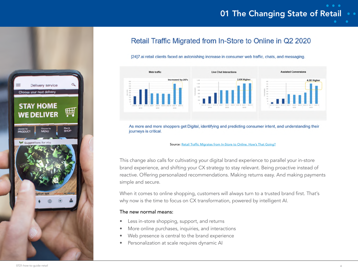# 01 The Changing State of Retail



# Retail Traffic Migrated from In-Store to Online in Q2 2020

#### [24]7.ai retail clients faced an astonishing increase in consumer web traffic, chats, and messaging.



As more and more shoppers get Digital, identifying and predicting consumer intent, and understanding their journeys is critical.

#### Source: [Retail Traffic Migrates from In-Store to Online. How's That Going?](https://www.247.ai/blogs/retail-traffic-swiftly-migrates-from-in-store-to-online)

This change also calls for cultivating your digital brand experience to parallel your in-store brand experience, and shifting your CX strategy to stay relevant. Being proactive instead of reactive. Offering personalized recommendations. Making returns easy. And making payments simple and secure.

When it comes to online shopping, customers will always turn to a trusted brand first. That's why now is the time to focus on CX transformation, powered by intelligent AI.

#### The new normal means:

- Less in-store shopping, support, and returns
- More online purchases, inquiries, and interactions
- Web presence is central to the brand experience
- Personalization at scale requires dynamic AI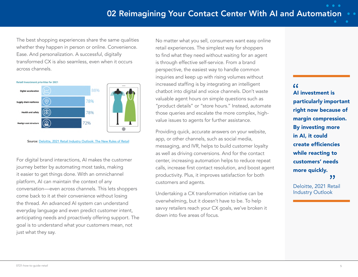The best shopping experiences share the same qualities whether they happen in person or online. Convenience. Ease. And personalization. A successful, digitally transformed CX is also seamless, even when it occurs across channels.



Source: [Deloitte, 2021 Retail Industry Outlook: The New Rules of Retail](https://www2.deloitte.com/us/en/pages/consumer-business/articles/retail-distribution-industry-outlook.html)

For digital brand interactions, AI makes the customer journey better by automating most tasks, making it easier to get things done. With an omnichannel platform, AI can maintain the context of any conversation—even across channels. This lets shoppers come back to it at their convenience without losing the thread. An advanced AI system can understand everyday language and even predict customer intent, anticipating needs and proactively offering support. The goal is to understand what your customers mean, not just what they say.

No matter what you sell, consumers want easy online retail experiences. The simplest way for shoppers to find what they need without waiting for an agent is through effective self-service. From a brand perspective, the easiest way to handle common inquiries and keep up with rising volumes without increased staffing is by integrating an intelligent chatbot into digital and voice channels. Don't waste valuable agent hours on simple questions such as "product details" or "store hours." Instead, automate those queries and escalate the more complex, highvalue issues to agents for further assistance.

Providing quick, accurate answers on your website, app, or other channels, such as social media, messaging, and IVR, helps to build customer loyalty as well as driving conversions. And for the contact center, increasing automation helps to reduce repeat calls, increase first contact resolution, and boost agent productivity. Plus, it improves satisfaction for both customers and agents.

Undertaking a CX transformation initiative can be overwhelming, but it doesn't have to be. To help savvy retailers reach your CX goals, we've broken it down into five areas of focus.

# $\epsilon$ AI investment is particularly important right now because of margin compression. By investing more in AI, it could create efficiencies while reacting to customers' needs more quickly. "

Deloitte, 2021 Retail Industry Outlook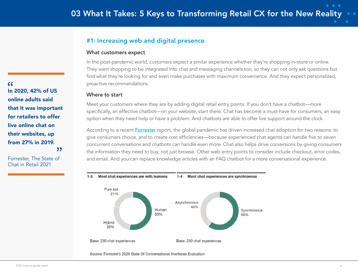## #1: Increasing web and digital presence

#### What customers expect

In the post-pandemic world, customers expect a similar experience whether they're shopping in-store or online. They want shopping to be integrated into chat and messaging channels too, so they can not only ask questions but find what they're looking for and even make purchases with maximum convenience. And they expect personalized, proactive recommendations.

#### Where to start

Meet your customers where they are by adding digital retail entry points. If you don't have a chatbot—more specifically, an effective chatbot—on your website, start there. Chat has become a must-have for consumers, an easy option when they need help or have a problem. And chatbots are able to offer live support around the clock.

According to a recent **[Forrester](https://www.forrester.com/report/The+State+Of+Chat+In+Retail+2021/-/E-RES164497)** report, the global pandemic has driven increased chat adoption for two reasons: to give consumers choice, and to create cost efficiencies—because experienced chat agents can handle five to seven concurrent conversations and chatbots can handle even more. Chat also helps drive conversions by giving consumers the information they need to buy, not just browse. Other web entry points to consider include checkout, error codes, and email. And you can replace knowledge articles with an FAQ chatbot for a more conversational experience.



Base: 230 chat experiences Base: 230 chat experiences

Source: Forrester's 2020 State Of Conversational Interfaces Evaluation

 $66$ In 2020, 42% of US online adults said that it was important for retailers to offer live online chat on their websites, up from 27% in 2019. "

Forrester, The State of Chat in Retail 2021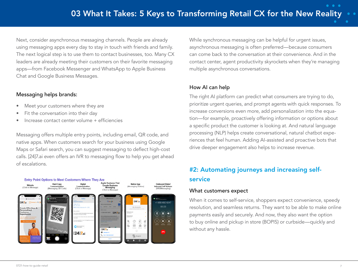Next, consider asynchronous messaging channels. People are already using messaging apps every day to stay in touch with friends and family. The next logical step is to use them to contact businesses, too. Many CX leaders are already meeting their customers on their favorite messaging apps—from Facebook Messenger and WhatsApp to Apple Business Chat and Google Business Messages.

#### Messaging helps brands:

- Meet your customers where they are
- Fit the conversation into their day
- Increase contact center volume + efficiencies

Messaging offers multiple entry points, including email, QR code, and native apps. When customers search for your business using Google Maps or Safari search, you can suggest messaging to deflect high-cost calls. [24]7.ai even offers an IVR to messaging flow to help you get ahead of escalations.



While synchronous messaging can be helpful for urgent issues, asynchronous messaging is often preferred—because consumers can come back to the conversation at their convenience. And in the contact center, agent productivity skyrockets when they're managing multiple asynchronous conversations.

### How AI can help

The right AI platform can predict what consumers are trying to do, prioritize urgent queries, and prompt agents with quick responses. To increase conversions even more, add personalization into the equation—for example, proactively offering information or options about a specific product the customer is looking at. And natural language processing (NLP) helps create conversational, natural chatbot experiences that feel human. Adding AI-assisted and proactive bots that drive deeper engagement also helps to increase revenue.

# #2: Automating journeys and increasing selfservice

#### What customers expect

When it comes to self-service, shoppers expect convenience, speedy resolution, and seamless returns. They want to be able to make online payments easily and securely. And now, they also want the option to buy online and pickup in store (BOPIS) or curbside—quickly and without any hassle.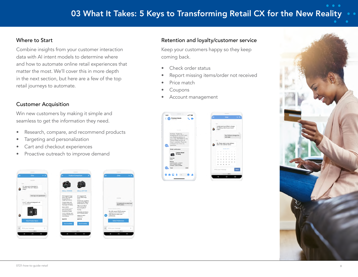# 03 What It Takes: 5 Keys to Transforming Retail CX for the New Reality

#### Where to Start

Combine insights from your customer interaction data with AI intent models to determine where and how to automate online retail experiences that matter the most. We'll cover this in more depth in the next section, but here are a few of the top retail journeys to automate.

#### Customer Acquisition

Win new customers by making it simple and seamless to get the information they need.

- Research, compare, and recommend products
- Targeting and personalization
- Cart and checkout experiences
- Proactive outreach to improve demand



#### Retention and loyalty/customer service

Keep your customers happy so they keep coming back.

- Check order status
- Report missing items/order not received
- Price match
- **Coupons**
- Account management



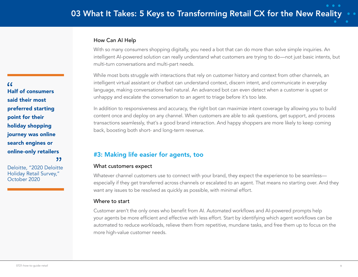#### How Can AI Help

With so many consumers shopping digitally, you need a bot that can do more than solve simple inquiries. An intelligent AI-powered solution can really understand what customers are trying to do—not just basic intents, but multi-turn conversations and multi-part needs.

While most bots struggle with interactions that rely on customer history and context from other channels, an intelligent virtual assistant or chatbot can understand context, discern intent, and communicate in everyday language, making conversations feel natural. An advanced bot can even detect when a customer is upset or unhappy and escalate the conversation to an agent to triage before it's too late.

In addition to responsiveness and accuracy, the right bot can maximize intent coverage by allowing you to build content once and deploy on any channel. When customers are able to ask questions, get support, and process transactions seamlessly, that's a good brand interaction. And happy shoppers are more likely to keep coming back, boosting both short- and long-term revenue.

## #3: Making life easier for agents, too

#### What customers expect

Whatever channel customers use to connect with your brand, they expect the experience to be seamless especially if they get transferred across channels or escalated to an agent. That means no starting over. And they want any issues to be resolved as quickly as possible, with minimal effort.

#### Where to start

Customer aren't the only ones who benefit from AI. Automated workflows and AI-powered prompts help your agents be more efficient and effective with less effort. Start by identifying which agent workflows can be automated to reduce workloads, relieve them from repetitive, mundane tasks, and free them up to focus on the more high-value customer needs.

 $66$ Half of consumers said their most preferred starting point for their holiday shopping journey was online search engines or online-only retailers "

Deloitte, "2020 Deloitte Holiday Retail Survey," October 2020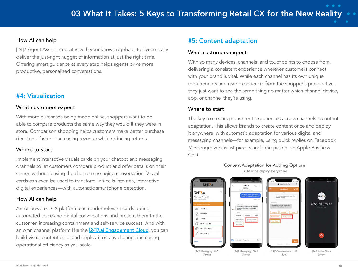#### How AI can help

[24]7 Agent Assist integrates with your knowledgebase to dynamically deliver the just-right nugget of information at just the right time. Offering smart guidance at every step helps agents drive more productive, personalized conversations.

## #4: Visualization

#### What customers expect

With more purchases being made online, shoppers want to be able to compare products the same way they would if they were in store. Comparison shopping helps customers make better purchase decisions, faster—increasing revenue while reducing returns.

#### Where to start

Implement interactive visuals cards on your chatbot and messaging channels to let customers compare product and offer details on their screen without leaving the chat or messaging conversation. Visual cards can even be used to transform IVR calls into rich, interactive digital experiences—with automatic smartphone detection.

#### How AI can help

An AI-powered CX platform can render relevant cards during automated voice and digital conversations and present them to the customer, increasing containment and self-service success. And with an omnichannel platform like the [\[24\]7.ai Engagement Cloud](https://www.247.ai/products/engagement-cloud), you can build visual content once and deploy it on any channel, increasing operational efficiency as you scale.

## #5: Content adaptation

#### What customers expect

With so many devices, channels, and touchpoints to choose from, delivering a consistent experience wherever customers connect with your brand is vital. While each channel has its own unique requirements and user experience, from the shopper's perspective, they just want to see the same thing no matter which channel device, app, or channel they're using.

#### Where to start

The key to creating consistent experiences across channels is content adaptation. This allows brands to create content once and deploy it anywhere, with automatic adaptation for various digital and messaging channels—for example, using quick replies on Facebook Messenger versus list pickers and time pickers on Apple Business Chat.



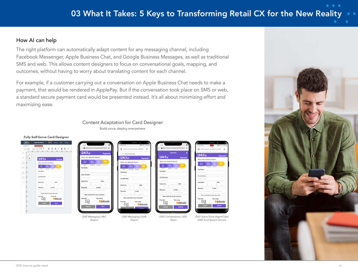#### How AI can help

 $0.166 - 0.18$ 

The right platform can automatically adapt content for any messaging channel, including Facebook Messenger, Apple Business Chat, and Google Business Messages, as well as traditional SMS and web. This allows content designers to focus on conversational goals, mapping, and outcomes, without having to worry about translating content for each channel.

For example, if a customer carrying out a conversation on Apple Business Chat needs to make a payment, that would be rendered in ApplePay. But if the conversation took place on SMS or web, a standard secure payment card would be presented instead. It's all about minimizing effort and maximizing ease.

#### Content Adaptation for Card Designer Build once, deploy everywhere

| (24)<br><b>CARD DESIGNER</b><br>Home Assets APIs History<br>$\frac{1}{2}$<br>$  -$<br><b>Contract Contract</b><br><b>Contract Contract</b><br><b>B41 % J1 60% B</b><br>16:50 El 4<br>$16-50 \,\Omega$ &<br><b>Payment Card</b><br>payment<br>https://www.247.ai/payment/3574837 C<br>https://www.247.alibayment/3574837 @<br>Represent ME III III & III D In A<br>Grid CIIII<br><br>fitps://www.247.ai/payment/3637643<br>Barmer Macoust Marcon Macoust Macoust Macoust Macoust Macoust<br>$[24]$ 7ai<br> | Fully Self-Serve Card Designer |                         |                         |                               |                                                                    |
|-----------------------------------------------------------------------------------------------------------------------------------------------------------------------------------------------------------------------------------------------------------------------------------------------------------------------------------------------------------------------------------------------------------------------------------------------------------------------------------------------------------|--------------------------------|-------------------------|-------------------------|-------------------------------|--------------------------------------------------------------------|
|                                                                                                                                                                                                                                                                                                                                                                                                                                                                                                           |                                |                         |                         |                               | ■ ■ 40 ℃ 30% ■<br>G https://www.247.alrpayment3637643 &<br>Payment |
|                                                                                                                                                                                                                                                                                                                                                                                                                                                                                                           |                                | $12417$ Massacing $ABC$ | $12417$ Mercaning $CMD$ | $12417$ Capuarestians $111DE$ | <b>Obitcoin</b><br>$[24]$ Action Chara (Agant Calle)               |

(Async)

(Async)



(Sync)

[24]7 Vivid Speech (Voices)

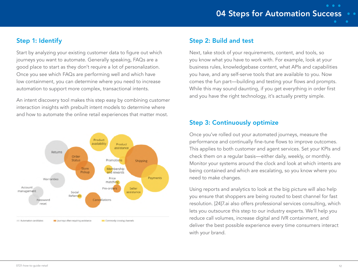# 04 Steps for Automation Success

 $\bullet\quad \bullet\quad \bullet$ 

## Step 1: Identify

Start by analyzing your existing customer data to figure out which journeys you want to automate. Generally speaking, FAQs are a good place to start as they don't require a lot of personalization. Once you see which FAQs are performing well and which have low containment, you can determine where you need to increase automation to support more complex, transactional intents.

An intent discovery tool makes this step easy by combining customer interaction insights with prebuilt intent models to determine where and how to automate the online retail experiences that matter most.



#### Step 2: Build and test

Next, take stock of your requirements, content, and tools, so you know what you have to work with. For example, look at your business rules, knowledgebase content, what APIs and capabilities you have, and any self-serve tools that are available to you. Now comes the fun part—building and testing your flows and prompts. While this may sound daunting, if you get everything in order first and you have the right technology, it's actually pretty simple.

#### Step 3: Continuously optimize

Once you've rolled out your automated journeys, measure the performance and continually fine-tune flows to improve outcomes. This applies to both customer and agent services. Set your KPIs and check them on a regular basis—either daily, weekly, or monthly. Monitor your systems around the clock and look at which intents are being contained and which are escalating, so you know where you need to make changes.

Using reports and analytics to look at the big picture will also help you ensure that shoppers are being routed to best channel for fast resolution. [24]7.ai also offers professional services consulting, which lets you outsource this step to our industry experts. We'll help you reduce call volumes, increase digital and IVR containment, and deliver the best possible experience every time consumers interact with your brand.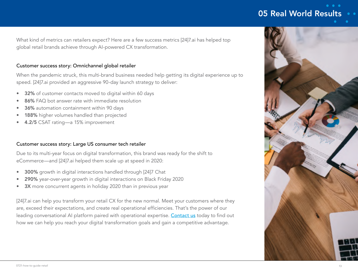# 05 Real World Results

What kind of metrics can retailers expect? Here are a few success metrics [24]7.ai has helped top global retail brands achieve through AI-powered CX transformation.

#### Customer success story: Omnichannel global retailer

When the pandemic struck, this multi-brand business needed help getting its digital experience up to speed. [24]7.ai provided an aggressive 90-day launch strategy to deliver:

- 32% of customer contacts moved to digital within 60 days
- 86% FAQ bot answer rate with immediate resolution
- 36% automation containment within 90 days
- 188% higher volumes handled than projected
- 4.2/5 CSAT rating—a 15% improvement

#### Customer success story: Large US consumer tech retailer

Due to its multi-year focus on digital transformation, this brand was ready for the shift to eCommerce—and [24]7.ai helped them scale up at speed in 2020:

- 300% growth in digital interactions handled through [24]7 Chat
- 290% year-over-year growth in digital interactions on Black Friday 2020
- 3X more concurrent agents in holiday 2020 than in previous year

[24]7.ai can help you transform your retail CX for the new normal. Meet your customers where they are, exceed their expectations, and create real operational efficiencies. That's the power of our leading conversational AI platform paired with operational expertise. [Contact us](https://info.247.ai/Contact-Us.html) today to find out how we can help you reach your digital transformation goals and gain a competitive advantage.